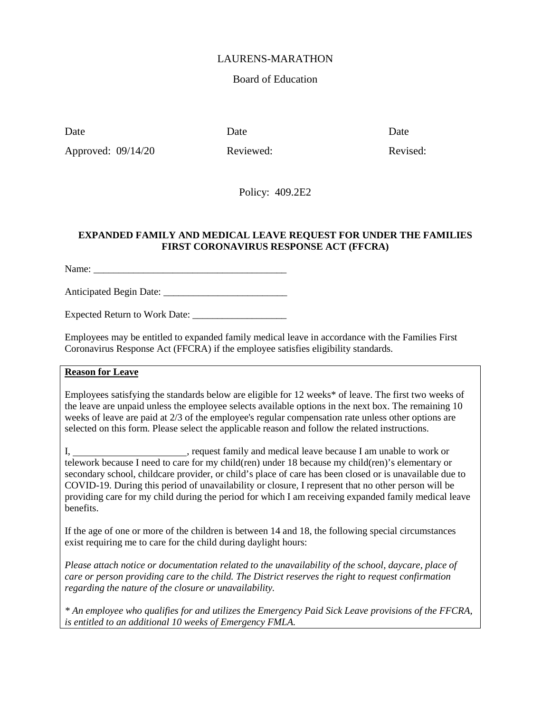#### LAURENS-MARATHON

## Board of Education

Date Date Date Date

Approved:  $09/14/20$  Reviewed: Reviewed: Revised:

Policy: 409.2E2

#### **EXPANDED FAMILY AND MEDICAL LEAVE REQUEST FOR UNDER THE FAMILIES FIRST CORONAVIRUS RESPONSE ACT (FFCRA)**

Name:

Anticipated Begin Date: \_\_\_\_\_\_\_\_\_\_\_\_\_\_\_\_\_\_\_\_\_\_\_\_\_

Expected Return to Work Date: \_\_\_\_\_\_\_\_\_\_\_\_\_\_\_\_\_\_\_

Employees may be entitled to expanded family medical leave in accordance with the Families First Coronavirus Response Act (FFCRA) if the employee satisfies eligibility standards.

# **Reason for Leave**

Employees satisfying the standards below are eligible for 12 weeks\* of leave. The first two weeks of the leave are unpaid unless the employee selects available options in the next box. The remaining 10 weeks of leave are paid at 2/3 of the employee's regular compensation rate unless other options are selected on this form. Please select the applicable reason and follow the related instructions.

I, \_\_\_\_\_\_\_\_\_\_\_\_\_\_\_\_\_\_\_\_\_\_\_\_, request family and medical leave because I am unable to work or telework because I need to care for my child(ren) under 18 because my child(ren)'s elementary or secondary school, childcare provider, or child's place of care has been closed or is unavailable due to COVID-19. During this period of unavailability or closure, I represent that no other person will be providing care for my child during the period for which I am receiving expanded family medical leave benefits.

If the age of one or more of the children is between 14 and 18, the following special circumstances exist requiring me to care for the child during daylight hours:

*Please attach notice or documentation related to the unavailability of the school, daycare, place of care or person providing care to the child. The District reserves the right to request confirmation regarding the nature of the closure or unavailability.*

*\* An employee who qualifies for and utilizes the Emergency Paid Sick Leave provisions of the FFCRA, is entitled to an additional 10 weeks of Emergency FMLA.*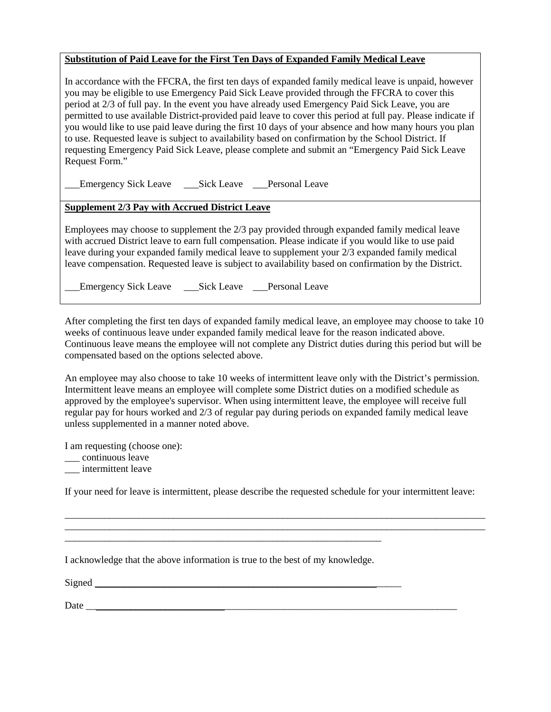#### **Substitution of Paid Leave for the First Ten Days of Expanded Family Medical Leave**

In accordance with the FFCRA, the first ten days of expanded family medical leave is unpaid, however you may be eligible to use Emergency Paid Sick Leave provided through the FFCRA to cover this period at 2/3 of full pay. In the event you have already used Emergency Paid Sick Leave, you are permitted to use available District-provided paid leave to cover this period at full pay. Please indicate if you would like to use paid leave during the first 10 days of your absence and how many hours you plan to use. Requested leave is subject to availability based on confirmation by the School District. If requesting Emergency Paid Sick Leave, please complete and submit an "Emergency Paid Sick Leave Request Form."

\_\_\_Emergency Sick Leave \_\_\_Sick Leave \_\_\_Personal Leave

# **Supplement 2/3 Pay with Accrued District Leave**

Employees may choose to supplement the 2/3 pay provided through expanded family medical leave with accrued District leave to earn full compensation. Please indicate if you would like to use paid leave during your expanded family medical leave to supplement your 2/3 expanded family medical leave compensation. Requested leave is subject to availability based on confirmation by the District.

Emergency Sick Leave \_\_\_Sick Leave \_\_\_Personal Leave

After completing the first ten days of expanded family medical leave, an employee may choose to take 10 weeks of continuous leave under expanded family medical leave for the reason indicated above. Continuous leave means the employee will not complete any District duties during this period but will be compensated based on the options selected above.

An employee may also choose to take 10 weeks of intermittent leave only with the District's permission. Intermittent leave means an employee will complete some District duties on a modified schedule as approved by the employee's supervisor. When using intermittent leave, the employee will receive full regular pay for hours worked and 2/3 of regular pay during periods on expanded family medical leave unless supplemented in a manner noted above.

I am requesting (choose one):

\_\_\_ continuous leave

\_\_\_ intermittent leave

If your need for leave is intermittent, please describe the requested schedule for your intermittent leave:

\_\_\_\_\_\_\_\_\_\_\_\_\_\_\_\_\_\_\_\_\_\_\_\_\_\_\_\_\_\_\_\_\_\_\_\_\_\_\_\_\_\_\_\_\_\_\_\_\_\_\_\_\_\_\_\_\_\_\_\_\_\_\_\_\_\_\_\_\_\_\_\_\_\_\_\_\_\_\_\_\_\_\_\_\_

| I acknowledge that the above information is true to the best of my knowledge. |
|-------------------------------------------------------------------------------|
| Signed                                                                        |
|                                                                               |

Date \_\_\_\_\_\_\_\_\_\_\_\_\_\_\_\_\_\_\_\_\_\_\_\_\_\_\_\_\_\_\_\_\_\_\_\_\_\_\_\_\_\_\_\_\_\_\_\_\_\_\_\_\_\_\_\_\_\_\_\_\_\_\_\_\_\_\_\_\_\_\_\_\_\_\_